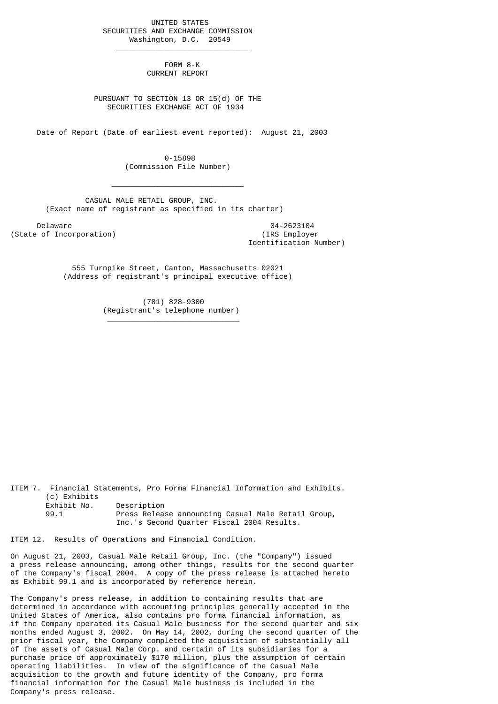UNITED STATES SECURITIES AND EXCHANGE COMMISSION Washington, D.C. 20549

 $\frac{1}{2}$  , and the set of the set of the set of the set of the set of the set of the set of the set of the set of the set of the set of the set of the set of the set of the set of the set of the set of the set of the set

 $\mathcal{L}_\text{max}$  and  $\mathcal{L}_\text{max}$  and  $\mathcal{L}_\text{max}$  and  $\mathcal{L}_\text{max}$  and  $\mathcal{L}_\text{max}$ 

\_\_\_\_\_\_\_\_\_\_\_\_\_\_\_\_\_\_\_\_\_\_\_\_\_\_\_\_\_\_

 FORM 8-K CURRENT REPORT

 PURSUANT TO SECTION 13 OR 15(d) OF THE SECURITIES EXCHANGE ACT OF 1934

Date of Report (Date of earliest event reported): August 21, 2003

 0-15898 (Commission File Number)

 CASUAL MALE RETAIL GROUP, INC. (Exact name of registrant as specified in its charter)

Delaware 04-2623104<br>
Delaware 04-2623104<br>
Of Incorporation (State of Incorporation)

Identification Number)

 555 Turnpike Street, Canton, Massachusetts 02021 (Address of registrant's principal executive office)

> (781) 828-9300 (Registrant's telephone number)

ITEM 7. Financial Statements, Pro Forma Financial Information and Exhibits. (c) Exhibits Exhibit No. Description 99.1 Press Release announcing Casual Male Retail Group, Inc.'s Second Quarter Fiscal 2004 Results.

ITEM 12. Results of Operations and Financial Condition.

On August 21, 2003, Casual Male Retail Group, Inc. (the "Company") issued a press release announcing, among other things, results for the second quarter of the Company's fiscal 2004. A copy of the press release is attached hereto as Exhibit 99.1 and is incorporated by reference herein.

The Company's press release, in addition to containing results that are determined in accordance with accounting principles generally accepted in the United States of America, also contains pro forma financial information, as if the Company operated its Casual Male business for the second quarter and six months ended August 3, 2002. On May 14, 2002, during the second quarter of the prior fiscal year, the Company completed the acquisition of substantially all of the assets of Casual Male Corp. and certain of its subsidiaries for a purchase price of approximately \$170 million, plus the assumption of certain operating liabilities. In view of the significance of the Casual Male acquisition to the growth and future identity of the Company, pro forma financial information for the Casual Male business is included in the Company's press release.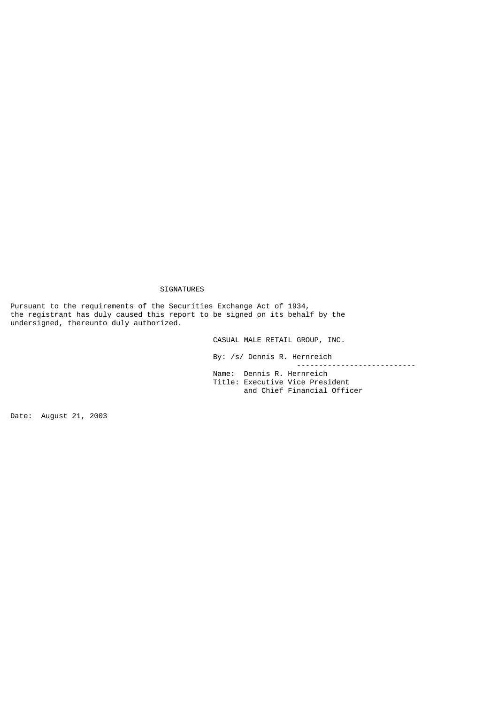## SIGNATURES

Pursuant to the requirements of the Securities Exchange Act of 1934, the registrant has duly caused this report to be signed on its behalf by the undersigned, thereunto duly authorized.

CASUAL MALE RETAIL GROUP, INC.

By: /s/ Dennis R. Hernreich

 --------------------------- Name: Dennis R. Hernreich Title: Executive Vice President and Chief Financial Officer

Date: August 21, 2003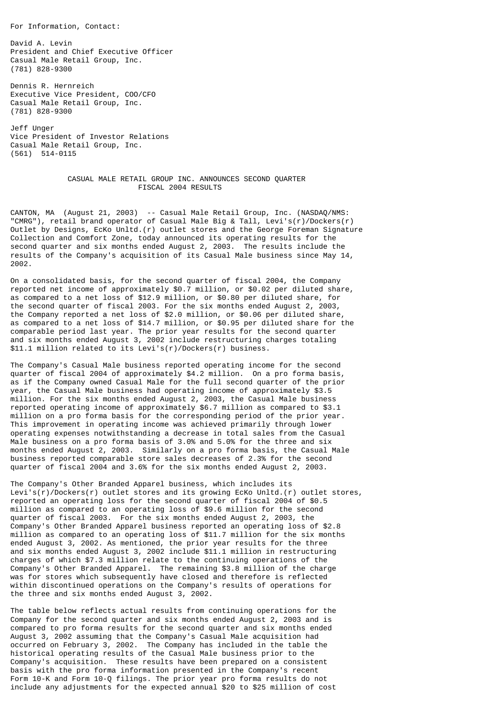For Information, Contact:

David A. Levin President and Chief Executive Officer Casual Male Retail Group, Inc. (781) 828-9300

Dennis R. Hernreich Executive Vice President, COO/CFO Casual Male Retail Group, Inc. (781) 828-9300

Jeff Unger Vice President of Investor Relations Casual Male Retail Group, Inc. (561) 514-0115

## CASUAL MALE RETAIL GROUP INC. ANNOUNCES SECOND QUARTER FISCAL 2004 RESULTS

CANTON, MA (August 21, 2003) -- Casual Male Retail Group, Inc. (NASDAQ/NMS: "CMRG"), retail brand operator of Casual Male Big & Tall, Levi's(r)/Dockers(r) Outlet by Designs, EcKo Unltd.(r) outlet stores and the George Foreman Signature Collection and Comfort Zone, today announced its operating results for the second quarter and six months ended August 2, 2003. The results include the results of the Company's acquisition of its Casual Male business since May 14, 2002.

On a consolidated basis, for the second quarter of fiscal 2004, the Company reported net income of approximately \$0.7 million, or \$0.02 per diluted share, as compared to a net loss of \$12.9 million, or \$0.80 per diluted share, for the second quarter of fiscal 2003. For the six months ended August 2, 2003, the Company reported a net loss of \$2.0 million, or \$0.06 per diluted share, as compared to a net loss of \$14.7 million, or \$0.95 per diluted share for the comparable period last year. The prior year results for the second quarter and six months ended August 3, 2002 include restructuring charges totaling \$11.1 million related to its Levi's(r)/Dockers(r) business.

The Company's Casual Male business reported operating income for the second quarter of fiscal 2004 of approximately \$4.2 million. On a pro forma basis, as if the Company owned Casual Male for the full second quarter of the prior year, the Casual Male business had operating income of approximately \$3.5 million. For the six months ended August 2, 2003, the Casual Male business reported operating income of approximately \$6.7 million as compared to \$3.1 million on a pro forma basis for the corresponding period of the prior year. This improvement in operating income was achieved primarily through lower operating expenses notwithstanding a decrease in total sales from the Casual Male business on a pro forma basis of 3.0% and 5.0% for the three and six months ended August 2, 2003. Similarly on a pro forma basis, the Casual Male business reported comparable store sales decreases of 2.3% for the second quarter of fiscal 2004 and 3.6% for the six months ended August 2, 2003.

The Company's Other Branded Apparel business, which includes its Levi's(r)/Dockers(r) outlet stores and its growing EcKo Unltd.(r) outlet stores, reported an operating loss for the second quarter of fiscal 2004 of \$0.5 million as compared to an operating loss of \$9.6 million for the second quarter of fiscal 2003. For the six months ended August 2, 2003, the Company's Other Branded Apparel business reported an operating loss of \$2.8 million as compared to an operating loss of \$11.7 million for the six months ended August 3, 2002. As mentioned, the prior year results for the three and six months ended August 3, 2002 include \$11.1 million in restructuring charges of which \$7.3 million relate to the continuing operations of the Company's Other Branded Apparel. The remaining \$3.8 million of the charge was for stores which subsequently have closed and therefore is reflected within discontinued operations on the Company's results of operations for the three and six months ended August 3, 2002.

The table below reflects actual results from continuing operations for the Company for the second quarter and six months ended August 2, 2003 and is compared to pro forma results for the second quarter and six months ended August 3, 2002 assuming that the Company's Casual Male acquisition had occurred on February 3, 2002. The Company has included in the table the historical operating results of the Casual Male business prior to the Company's acquisition. These results have been prepared on a consistent basis with the pro forma information presented in the Company's recent Form 10-K and Form 10-Q filings. The prior year pro forma results do not include any adjustments for the expected annual \$20 to \$25 million of cost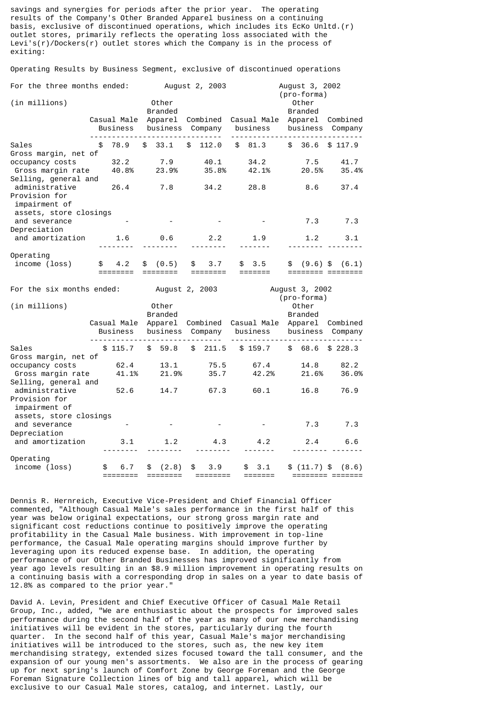savings and synergies for periods after the prior year. The operating results of the Company's Other Branded Apparel business on a continuing basis, exclusive of discontinued operations, which includes its EcKo Unltd.(r) outlet stores, primarily reflects the operating loss associated with the Levi's(r)/Dockers(r) outlet stores which the Company is in the process of exiting:

|                        | For the three months ended: |                         |    | August 2, 2003                       |    |         | August 3, 2002<br>(pro-forma) |                         |    |                              |  |         |
|------------------------|-----------------------------|-------------------------|----|--------------------------------------|----|---------|-------------------------------|-------------------------|----|------------------------------|--|---------|
| (in millions)          |                             |                         |    | Other<br><b>Branded</b>              |    |         |                               |                         |    | Other<br><b>Branded</b>      |  |         |
|                        |                             | Casual Male<br>Business |    | Apparel Combined<br>business Company |    |         |                               | Casual Male<br>business |    | Apparel Combined<br>business |  | Company |
| Sales                  | \$                          | 78.9                    |    | \$33.1                               |    | \$112.0 |                               | \$81.3                  |    | \$36.6\$3117.9               |  |         |
| Gross margin, net of   |                             |                         |    |                                      |    |         |                               |                         |    |                              |  |         |
| occupancy costs        |                             | 32.2                    |    | 7.9                                  |    | 40.1    |                               | 34.2                    |    | 7.5                          |  | 41.7    |
| Gross margin rate      |                             | 40.8%                   |    | 23.9%                                |    | 35.8%   |                               | 42.1%                   |    | 20.5%                        |  | 35.4%   |
| Selling, general and   |                             |                         |    |                                      |    |         |                               |                         |    |                              |  |         |
| administrative         |                             | 26.4                    |    | 7.8                                  |    | 34.2    |                               | 28.8                    |    | 8.6                          |  | 37.4    |
| Provision for          |                             |                         |    |                                      |    |         |                               |                         |    |                              |  |         |
| impairment of          |                             |                         |    |                                      |    |         |                               |                         |    |                              |  |         |
| assets, store closings |                             |                         |    |                                      |    |         |                               |                         |    |                              |  |         |
| and severance          |                             |                         |    |                                      |    |         |                               |                         |    | 7.3                          |  | 7.3     |
| Depreciation           |                             |                         |    |                                      |    |         |                               |                         |    |                              |  |         |
| and amortization       |                             | 1.6                     |    | 0.6                                  |    | 2.2     |                               | 1.9                     |    | 1.2                          |  | 3.1     |
|                        |                             |                         |    |                                      |    |         |                               |                         |    |                              |  |         |
| Operating              |                             |                         |    |                                      |    |         |                               |                         |    |                              |  |         |
| income (loss)          | \$                          | 4.2                     | \$ | (0.5)                                | \$ | 3.7     |                               | \$3.5                   | \$ | $(9.6)$ \$                   |  | (6.1)   |
|                        |                             |                         |    |                                      |    |         |                               |                         |    | :======= =======             |  |         |

Operating Results by Business Segment, exclusive of discontinued operations

| For the six months ended: |    |                         |                         | August 2, 2003      |    |                     | August 3, 2002<br>(pro-forma) |          |                         |              |  |                                         |
|---------------------------|----|-------------------------|-------------------------|---------------------|----|---------------------|-------------------------------|----------|-------------------------|--------------|--|-----------------------------------------|
| (in millions)             |    |                         | Other<br><b>Branded</b> |                     |    |                     |                               |          | Other<br><b>Branded</b> |              |  |                                         |
|                           |    | Casual Male<br>Business |                         | Apparel<br>business |    | Combined<br>Company |                               | business |                         | business     |  | Casual Male Apparel Combined<br>Company |
| Sales                     |    | \$115.7                 | \$                      | 59.8                | \$ | 211.5               |                               | \$159.7  |                         | \$68.6       |  | \$228.3                                 |
| Gross margin, net of      |    |                         |                         |                     |    |                     |                               |          |                         |              |  |                                         |
| occupancy costs           |    | 62.4                    |                         | 13.1                |    | 75.5                |                               | 67.4     |                         | 14.8         |  | 82.2                                    |
| Gross margin rate         |    | 41.1%                   |                         | 21.9%               |    | 35.7                |                               | 42.2%    |                         | 21.6%        |  | 36.0%                                   |
| Selling, general and      |    |                         |                         |                     |    |                     |                               |          |                         |              |  |                                         |
| administrative            |    | 52.6                    |                         | 14.7                |    | 67.3                |                               | 60.1     |                         | 16.8         |  | 76.9                                    |
| Provision for             |    |                         |                         |                     |    |                     |                               |          |                         |              |  |                                         |
| impairment of             |    |                         |                         |                     |    |                     |                               |          |                         |              |  |                                         |
| assets, store closings    |    |                         |                         |                     |    |                     |                               |          |                         |              |  |                                         |
| and severance             |    |                         |                         |                     |    |                     |                               |          |                         | 7.3          |  | 7.3                                     |
| Depreciation              |    |                         |                         |                     |    |                     |                               |          |                         |              |  |                                         |
| and amortization          |    | 3.1                     |                         | 1.2                 |    | 4.3                 |                               | 4.2      |                         | 2.4          |  | 6.6                                     |
|                           |    |                         |                         |                     |    |                     |                               |          |                         |              |  |                                         |
| Operating                 |    |                         |                         |                     |    |                     |                               |          |                         |              |  |                                         |
| income (loss)             | \$ | 6.7                     | \$                      | (2.8)               | \$ | 3.9                 | \$                            | 3.1      |                         | $$(11.7)$ \$ |  | (8.6)                                   |
|                           |    |                         |                         |                     |    |                     |                               |          |                         |              |  |                                         |

Dennis R. Hernreich, Executive Vice-President and Chief Financial Officer commented, "Although Casual Male's sales performance in the first half of this year was below original expectations, our strong gross margin rate and significant cost reductions continue to positively improve the operating profitability in the Casual Male business. With improvement in top-line performance, the Casual Male operating margins should improve further by leveraging upon its reduced expense base. In addition, the operating performance of our Other Branded Businesses has improved significantly from year ago levels resulting in an \$8.9 million improvement in operating results on a continuing basis with a corresponding drop in sales on a year to date basis of 12.8% as compared to the prior year."

David A. Levin, President and Chief Executive Officer of Casual Male Retail Group, Inc., added, "We are enthusiastic about the prospects for improved sales performance during the second half of the year as many of our new merchandising initiatives will be evident in the stores, particularly during the fourth quarter. In the second half of this year, Casual Male's major merchandising initiatives will be introduced to the stores, such as, the new key item merchandising strategy, extended sizes focused toward the tall consumer, and the expansion of our young men's assortments. We also are in the process of gearing up for next spring's launch of Comfort Zone by George Foreman and the George Foreman Signature Collection lines of big and tall apparel, which will be exclusive to our Casual Male stores, catalog, and internet. Lastly, our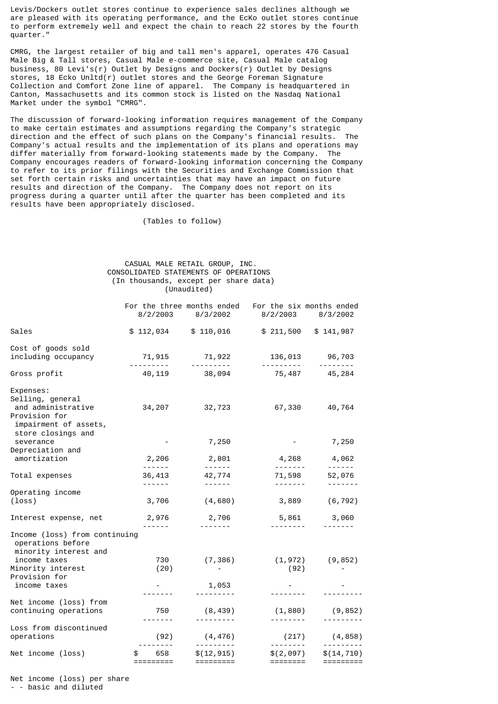Levis/Dockers outlet stores continue to experience sales declines although we are pleased with its operating performance, and the EcKo outlet stores continue to perform extremely well and expect the chain to reach 22 stores by the fourth quarter."

CMRG, the largest retailer of big and tall men's apparel, operates 476 Casual Male Big & Tall stores, Casual Male e-commerce site, Casual Male catalog business, 80 Levi's(r) Outlet by Designs and Dockers(r) Outlet by Designs stores, 18 Ecko Unltd(r) outlet stores and the George Foreman Signature Collection and Comfort Zone line of apparel. The Company is headquartered in Canton, Massachusetts and its common stock is listed on the Nasdaq National Market under the symbol "CMRG".

The discussion of forward-looking information requires management of the Company to make certain estimates and assumptions regarding the Company's strategic<br>direction and the effect of such plans on the Company's financial results. The direction and the effect of such plans on the Company's financial results. Company's actual results and the implementation of its plans and operations may differ materially from forward-looking statements made by the Company. The Company encourages readers of forward-looking information concerning the Company to refer to its prior filings with the Securities and Exchange Commission that set forth certain risks and uncertainties that may have an impact on future results and direction of the Company. The Company does not report on its progress during a quarter until after the quarter has been completed and its results have been appropriately disclosed.

(Tables to follow)

## CASUAL MALE RETAIL GROUP, INC. CONSOLIDATED STATEMENTS OF OPERATIONS (In thousands, except per share data) (Unaudited)

|                                                                                                                     | 8/2/2003                                                                                                                                                                                                                                                                                                                                                                                                                                                                             | For the three months ended<br>8/3/2002                                                                                                                                                                                                                                                                                                                                                                                                                                                          | For the six months ended<br>8/2/2003     | 8/3/2002                                                                                                                                                                                                                                                                                                                                                                                                                                                                                  |
|---------------------------------------------------------------------------------------------------------------------|--------------------------------------------------------------------------------------------------------------------------------------------------------------------------------------------------------------------------------------------------------------------------------------------------------------------------------------------------------------------------------------------------------------------------------------------------------------------------------------|-------------------------------------------------------------------------------------------------------------------------------------------------------------------------------------------------------------------------------------------------------------------------------------------------------------------------------------------------------------------------------------------------------------------------------------------------------------------------------------------------|------------------------------------------|-------------------------------------------------------------------------------------------------------------------------------------------------------------------------------------------------------------------------------------------------------------------------------------------------------------------------------------------------------------------------------------------------------------------------------------------------------------------------------------------|
| Sales                                                                                                               | \$112,034                                                                                                                                                                                                                                                                                                                                                                                                                                                                            | \$110,016                                                                                                                                                                                                                                                                                                                                                                                                                                                                                       | \$211,500                                | \$141,987                                                                                                                                                                                                                                                                                                                                                                                                                                                                                 |
| Cost of goods sold<br>including occupancy                                                                           | 71, 915<br><u> - - - - - - - - -</u>                                                                                                                                                                                                                                                                                                                                                                                                                                                 | 71,922<br><u> - - - - - - - - -</u>                                                                                                                                                                                                                                                                                                                                                                                                                                                             |                                          | 136,013 96,703<br><u> - - - - - - - -</u>                                                                                                                                                                                                                                                                                                                                                                                                                                                 |
| Gross profit                                                                                                        | 40,119                                                                                                                                                                                                                                                                                                                                                                                                                                                                               | 38,094                                                                                                                                                                                                                                                                                                                                                                                                                                                                                          | 75,487                                   | 45,284                                                                                                                                                                                                                                                                                                                                                                                                                                                                                    |
| Expenses:<br>Selling, general<br>and administrative<br>Provision for<br>impairment of assets,<br>store closings and | 34,207                                                                                                                                                                                                                                                                                                                                                                                                                                                                               | 32,723                                                                                                                                                                                                                                                                                                                                                                                                                                                                                          | 67,330                                   | 40,764                                                                                                                                                                                                                                                                                                                                                                                                                                                                                    |
| severance                                                                                                           |                                                                                                                                                                                                                                                                                                                                                                                                                                                                                      | 7,250                                                                                                                                                                                                                                                                                                                                                                                                                                                                                           |                                          | 7,250                                                                                                                                                                                                                                                                                                                                                                                                                                                                                     |
| Depreciation and<br>amortization                                                                                    | 2,206<br>$- - - - - - -$                                                                                                                                                                                                                                                                                                                                                                                                                                                             | 2,801<br>$\begin{array}{cccccccccccccc} \multicolumn{2}{c}{} & \multicolumn{2}{c}{} & \multicolumn{2}{c}{} & \multicolumn{2}{c}{} & \multicolumn{2}{c}{} & \multicolumn{2}{c}{} & \multicolumn{2}{c}{} & \multicolumn{2}{c}{} & \multicolumn{2}{c}{} & \multicolumn{2}{c}{} & \multicolumn{2}{c}{} & \multicolumn{2}{c}{} & \multicolumn{2}{c}{} & \multicolumn{2}{c}{} & \multicolumn{2}{c}{} & \multicolumn{2}{c}{} & \multicolumn{2}{c}{} & \multicolumn{2}{c}{} & \multicolumn{2}{c}{} & \$ | $- - - - - - - -$                        | 4,268 4,062<br>$\frac{1}{2} \left( \frac{1}{2} \right) \left( \frac{1}{2} \right) \left( \frac{1}{2} \right) \left( \frac{1}{2} \right) \left( \frac{1}{2} \right) \left( \frac{1}{2} \right) \left( \frac{1}{2} \right) \left( \frac{1}{2} \right) \left( \frac{1}{2} \right) \left( \frac{1}{2} \right) \left( \frac{1}{2} \right) \left( \frac{1}{2} \right) \left( \frac{1}{2} \right) \left( \frac{1}{2} \right) \left( \frac{1}{2} \right) \left( \frac{1}{2} \right) \left( \frac$ |
| Total expenses                                                                                                      | 36,413<br>$\frac{1}{2} \left( \frac{1}{2} \right) \left( \frac{1}{2} \right) \left( \frac{1}{2} \right) \left( \frac{1}{2} \right) \left( \frac{1}{2} \right) \left( \frac{1}{2} \right) \left( \frac{1}{2} \right) \left( \frac{1}{2} \right) \left( \frac{1}{2} \right) \left( \frac{1}{2} \right) \left( \frac{1}{2} \right) \left( \frac{1}{2} \right) \left( \frac{1}{2} \right) \left( \frac{1}{2} \right) \left( \frac{1}{2} \right) \left( \frac{1}{2} \right) \left( \frac$ | 42,774<br>$\frac{1}{2} \left( \frac{1}{2} \right) \left( \frac{1}{2} \right) \left( \frac{1}{2} \right) \left( \frac{1}{2} \right) \left( \frac{1}{2} \right) \left( \frac{1}{2} \right) \left( \frac{1}{2} \right) \left( \frac{1}{2} \right) \left( \frac{1}{2} \right) \left( \frac{1}{2} \right) \left( \frac{1}{2} \right) \left( \frac{1}{2} \right) \left( \frac{1}{2} \right) \left( \frac{1}{2} \right) \left( \frac{1}{2} \right) \left( \frac{1}{2} \right) \left( \frac$            | 71,598                                   | 52,076<br>-------                                                                                                                                                                                                                                                                                                                                                                                                                                                                         |
| Operating income<br>$(\text{loss})$                                                                                 | 3,706                                                                                                                                                                                                                                                                                                                                                                                                                                                                                | (4,680)                                                                                                                                                                                                                                                                                                                                                                                                                                                                                         | 3,889                                    | (6, 792)                                                                                                                                                                                                                                                                                                                                                                                                                                                                                  |
| Interest expense, net                                                                                               | 2,976<br>------                                                                                                                                                                                                                                                                                                                                                                                                                                                                      | 2,706                                                                                                                                                                                                                                                                                                                                                                                                                                                                                           | 5,861                                    | 3,060                                                                                                                                                                                                                                                                                                                                                                                                                                                                                     |
| Income (loss) from continuing<br>operations before<br>minority interest and                                         |                                                                                                                                                                                                                                                                                                                                                                                                                                                                                      |                                                                                                                                                                                                                                                                                                                                                                                                                                                                                                 |                                          |                                                                                                                                                                                                                                                                                                                                                                                                                                                                                           |
| income taxes<br>Minority interest                                                                                   | 730<br>(20)                                                                                                                                                                                                                                                                                                                                                                                                                                                                          | (7, 386)                                                                                                                                                                                                                                                                                                                                                                                                                                                                                        | (92)                                     | $(1, 972)$ $(9, 852)$                                                                                                                                                                                                                                                                                                                                                                                                                                                                     |
| Provision for<br>income taxes                                                                                       | $\sim 100$ km s $^{-1}$                                                                                                                                                                                                                                                                                                                                                                                                                                                              | 1,053                                                                                                                                                                                                                                                                                                                                                                                                                                                                                           |                                          |                                                                                                                                                                                                                                                                                                                                                                                                                                                                                           |
| Net income (loss) from                                                                                              |                                                                                                                                                                                                                                                                                                                                                                                                                                                                                      |                                                                                                                                                                                                                                                                                                                                                                                                                                                                                                 | -------                                  |                                                                                                                                                                                                                                                                                                                                                                                                                                                                                           |
| continuing operations                                                                                               | 750                                                                                                                                                                                                                                                                                                                                                                                                                                                                                  | (8, 439)                                                                                                                                                                                                                                                                                                                                                                                                                                                                                        | (1, 880)<br>---------                    | (9, 852)                                                                                                                                                                                                                                                                                                                                                                                                                                                                                  |
| Loss from discontinued<br>operations                                                                                | (92)                                                                                                                                                                                                                                                                                                                                                                                                                                                                                 | (4, 476)                                                                                                                                                                                                                                                                                                                                                                                                                                                                                        | (217)                                    | (4, 858)                                                                                                                                                                                                                                                                                                                                                                                                                                                                                  |
| Net income (loss)                                                                                                   | 658<br>\$<br>$=$ $=$ $=$ $=$ $=$ $=$ $=$ $=$ $=$                                                                                                                                                                                                                                                                                                                                                                                                                                     | \$(12, 915)                                                                                                                                                                                                                                                                                                                                                                                                                                                                                     | \$(2,097)<br>$=$ $=$ $=$ $=$ $=$ $=$ $=$ | \$(14, 710)<br>=========                                                                                                                                                                                                                                                                                                                                                                                                                                                                  |

Net income (loss) per share

- - basic and diluted